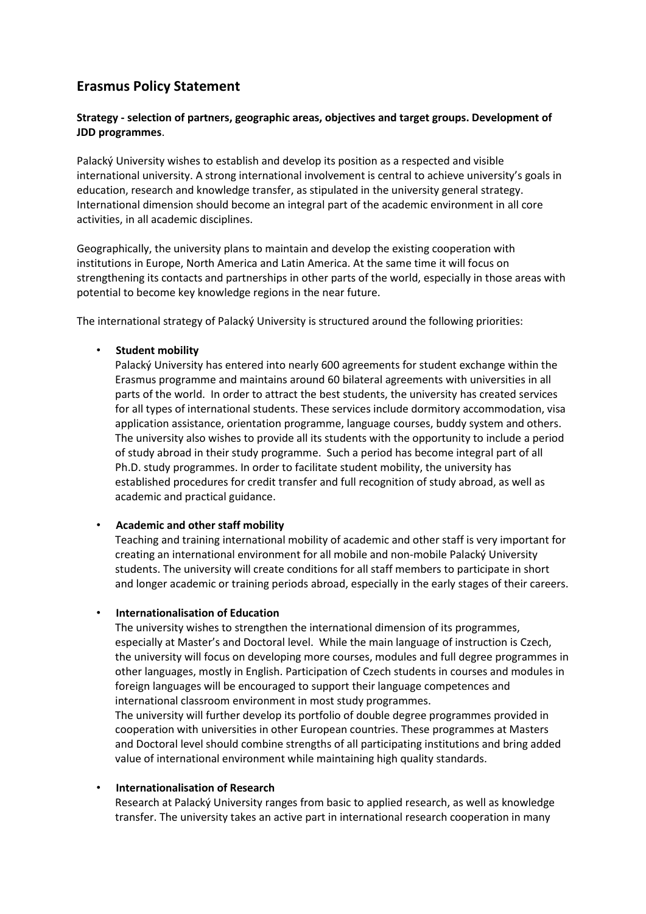# **Erasmus Policy Statement**

# **Strategy - selection of partners, geographic areas, objectives and target groups. Development of JDD programmes**.

Palacký University wishes to establish and develop its position as a respected and visible international university. A strong international involvement is central to achieve university's goals in education, research and knowledge transfer, as stipulated in the university general strategy. International dimension should become an integral part of the academic environment in all core activities, in all academic disciplines.

Geographically, the university plans to maintain and develop the existing cooperation with institutions in Europe, North America and Latin America. At the same time it will focus on strengthening its contacts and partnerships in other parts of the world, especially in those areas with potential to become key knowledge regions in the near future.

The international strategy of Palacký University is structured around the following priorities:

#### • **Student mobility**

Palacký University has entered into nearly 600 agreements for student exchange within the Erasmus programme and maintains around 60 bilateral agreements with universities in all parts of the world. In order to attract the best students, the university has created services for all types of international students. These services include dormitory accommodation, visa application assistance, orientation programme, language courses, buddy system and others. The university also wishes to provide all its students with the opportunity to include a period of study abroad in their study programme. Such a period has become integral part of all Ph.D. study programmes. In order to facilitate student mobility, the university has established procedures for credit transfer and full recognition of study abroad, as well as academic and practical guidance.

#### • **Academic and other staff mobility**

Teaching and training international mobility of academic and other staff is very important for creating an international environment for all mobile and non-mobile Palacký University students. The university will create conditions for all staff members to participate in short and longer academic or training periods abroad, especially in the early stages of their careers.

#### • **Internationalisation of Education**

The university wishes to strengthen the international dimension of its programmes, especially at Master's and Doctoral level. While the main language of instruction is Czech, the university will focus on developing more courses, modules and full degree programmes in other languages, mostly in English. Participation of Czech students in courses and modules in foreign languages will be encouraged to support their language competences and international classroom environment in most study programmes.

The university will further develop its portfolio of double degree programmes provided in cooperation with universities in other European countries. These programmes at Masters and Doctoral level should combine strengths of all participating institutions and bring added value of international environment while maintaining high quality standards.

#### • **Internationalisation of Research**

Research at Palacký University ranges from basic to applied research, as well as knowledge transfer. The university takes an active part in international research cooperation in many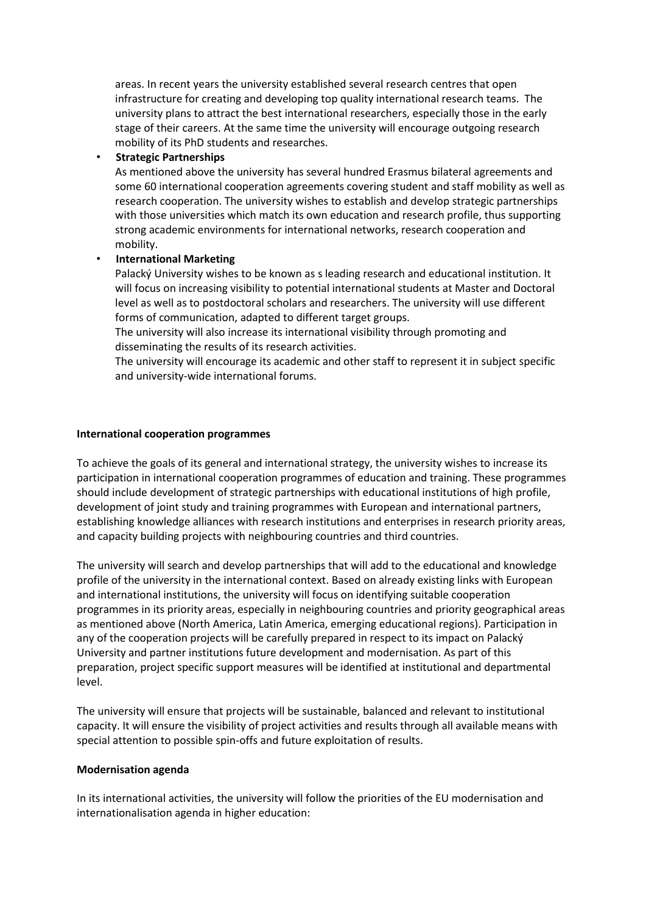areas. In recent years the university established several research centres that open infrastructure for creating and developing top quality international research teams. The university plans to attract the best international researchers, especially those in the early stage of their careers. At the same time the university will encourage outgoing research mobility of its PhD students and researches.

# • **Strategic Partnerships**

As mentioned above the university has several hundred Erasmus bilateral agreements and some 60 international cooperation agreements covering student and staff mobility as well as research cooperation. The university wishes to establish and develop strategic partnerships with those universities which match its own education and research profile, thus supporting strong academic environments for international networks, research cooperation and mobility.

# • **International Marketing**

Palacký University wishes to be known as s leading research and educational institution. It will focus on increasing visibility to potential international students at Master and Doctoral level as well as to postdoctoral scholars and researchers. The university will use different forms of communication, adapted to different target groups.

The university will also increase its international visibility through promoting and disseminating the results of its research activities.

The university will encourage its academic and other staff to represent it in subject specific and university-wide international forums.

# **International cooperation programmes**

To achieve the goals of its general and international strategy, the university wishes to increase its participation in international cooperation programmes of education and training. These programmes should include development of strategic partnerships with educational institutions of high profile, development of joint study and training programmes with European and international partners, establishing knowledge alliances with research institutions and enterprises in research priority areas, and capacity building projects with neighbouring countries and third countries.

The university will search and develop partnerships that will add to the educational and knowledge profile of the university in the international context. Based on already existing links with European and international institutions, the university will focus on identifying suitable cooperation programmes in its priority areas, especially in neighbouring countries and priority geographical areas as mentioned above (North America, Latin America, emerging educational regions). Participation in any of the cooperation projects will be carefully prepared in respect to its impact on Palacký University and partner institutions future development and modernisation. As part of this preparation, project specific support measures will be identified at institutional and departmental level.

The university will ensure that projects will be sustainable, balanced and relevant to institutional capacity. It will ensure the visibility of project activities and results through all available means with special attention to possible spin-offs and future exploitation of results.

#### **Modernisation agenda**

In its international activities, the university will follow the priorities of the EU modernisation and internationalisation agenda in higher education: